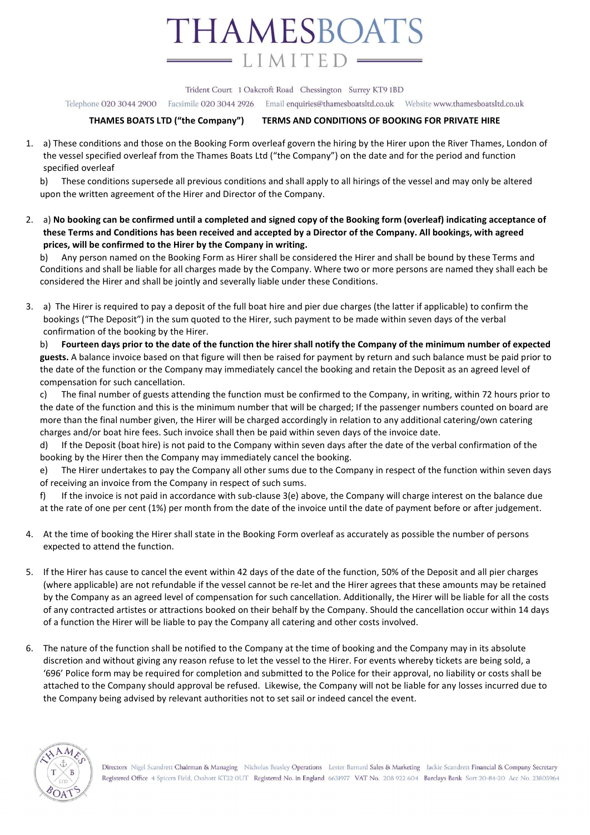

Trident Court 1 Oakcroft Road Chessington Surrey KT9 1BD

Telephone 020 3044 2900 Facsimile 020 3044 2926 Email enquiries@thamesboatsltd.co.uk Website www.thamesboatsltd.co.uk

## THAMES BOATS LTD ("the Company") TERMS AND CONDITIONS OF BOOKING FOR PRIVATE HIRE

1. a) These conditions and those on the Booking Form overleaf govern the hiring by the Hirer upon the River Thames, London of the vessel specified overleaf from the Thames Boats Ltd ("the Company") on the date and for the period and function specified overleaf

b) These conditions supersede all previous conditions and shall apply to all hirings of the vessel and may only be altered upon the written agreement of the Hirer and Director of the Company.

2. a) No booking can be confirmed until a completed and signed copy of the Booking form (overleaf) indicating acceptance of these Terms and Conditions has been received and accepted by a Director of the Company. All bookings, with agreed prices, will be confirmed to the Hirer by the Company in writing.

b) Any person named on the Booking Form as Hirer shall be considered the Hirer and shall be bound by these Terms and Conditions and shall be liable for all charges made by the Company. Where two or more persons are named they shall each be considered the Hirer and shall be jointly and severally liable under these Conditions.

3. a) The Hirer is required to pay a deposit of the full boat hire and pier due charges (the latter if applicable) to confirm the bookings ("The Deposit") in the sum quoted to the Hirer, such payment to be made within seven days of the verbal confirmation of the booking by the Hirer.

b) Fourteen days prior to the date of the function the hirer shall notify the Company of the minimum number of expected guests. A balance invoice based on that figure will then be raised for payment by return and such balance must be paid prior to the date of the function or the Company may immediately cancel the booking and retain the Deposit as an agreed level of compensation for such cancellation.

c) The final number of guests attending the function must be confirmed to the Company, in writing, within 72 hours prior to the date of the function and this is the minimum number that will be charged; If the passenger numbers counted on board are more than the final number given, the Hirer will be charged accordingly in relation to any additional catering/own catering charges and/or boat hire fees. Such invoice shall then be paid within seven days of the invoice date.

d) If the Deposit (boat hire) is not paid to the Company within seven days after the date of the verbal confirmation of the booking by the Hirer then the Company may immediately cancel the booking.

e) The Hirer undertakes to pay the Company all other sums due to the Company in respect of the function within seven days of receiving an invoice from the Company in respect of such sums.

f) If the invoice is not paid in accordance with sub-clause 3(e) above, the Company will charge interest on the balance due at the rate of one per cent (1%) per month from the date of the invoice until the date of payment before or after judgement.

- 4. At the time of booking the Hirer shall state in the Booking Form overleaf as accurately as possible the number of persons expected to attend the function.
- 5. If the Hirer has cause to cancel the event within 42 days of the date of the function, 50% of the Deposit and all pier charges (where applicable) are not refundable if the vessel cannot be re-let and the Hirer agrees that these amounts may be retained by the Company as an agreed level of compensation for such cancellation. Additionally, the Hirer will be liable for all the costs of any contracted artistes or attractions booked on their behalf by the Company. Should the cancellation occur within 14 days of a function the Hirer will be liable to pay the Company all catering and other costs involved.
- 6. The nature of the function shall be notified to the Company at the time of booking and the Company may in its absolute discretion and without giving any reason refuse to let the vessel to the Hirer. For events whereby tickets are being sold, a '696' Police form may be required for completion and submitted to the Police for their approval, no liability or costs shall be attached to the Company should approval be refused. Likewise, the Company will not be liable for any losses incurred due to the Company being advised by relevant authorities not to set sail or indeed cancel the event.



Directors Nigel Scandrett Chairman & Managing Nicholas Beasley Operations Lester Barnard Sales & Marketing Jackie Scandrett Financial & Company Secretary Registered Office 4 Spicers Field, Oxshott KT22 OUT Registered No. in England 6631977 VAT No. 208 922 604 Barclays Bank Sort 20-84-20 Acc No. 23805964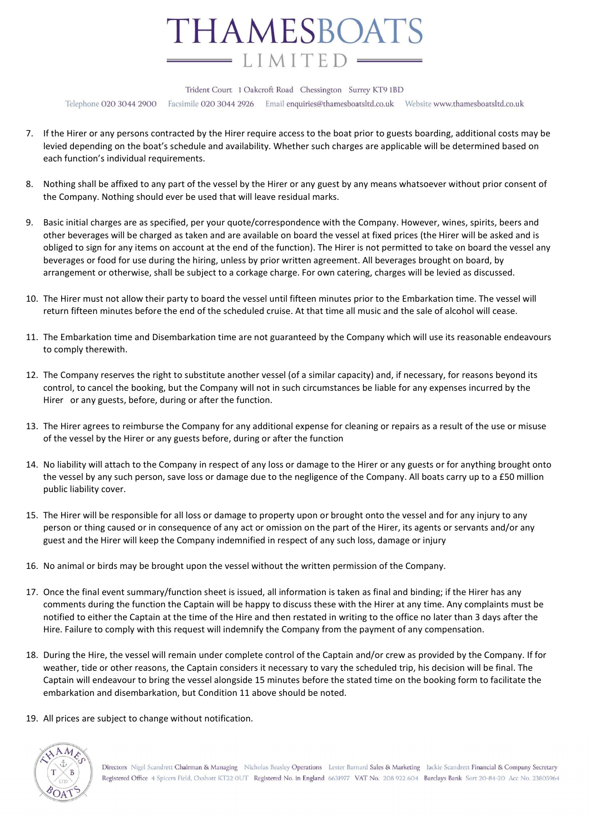

Trident Court 1 Oakcroft Road Chessington Surrey KT9 1BD

Telephone O2O 3O44 29OO Facsimile 020 3044 2926 Email enquiries@thamesboatsltd.co.uk Website www.thamesboatsltd.co.uk

- 7. If the Hirer or any persons contracted by the Hirer require access to the boat prior to guests boarding, additional costs may be levied depending on the boat's schedule and availability. Whether such charges are applicable will be determined based on each function's individual requirements.
- 8. Nothing shall be affixed to any part of the vessel by the Hirer or any guest by any means whatsoever without prior consent of the Company. Nothing should ever be used that will leave residual marks.
- 9. Basic initial charges are as specified, per your quote/correspondence with the Company. However, wines, spirits, beers and other beverages will be charged as taken and are available on board the vessel at fixed prices (the Hirer will be asked and is obliged to sign for any items on account at the end of the function). The Hirer is not permitted to take on board the vessel any beverages or food for use during the hiring, unless by prior written agreement. All beverages brought on board, by arrangement or otherwise, shall be subject to a corkage charge. For own catering, charges will be levied as discussed.
- 10. The Hirer must not allow their party to board the vessel until fifteen minutes prior to the Embarkation time. The vessel will return fifteen minutes before the end of the scheduled cruise. At that time all music and the sale of alcohol will cease.
- 11. The Embarkation time and Disembarkation time are not guaranteed by the Company which will use its reasonable endeavours to comply therewith.
- 12. The Company reserves the right to substitute another vessel (of a similar capacity) and, if necessary, for reasons beyond its control, to cancel the booking, but the Company will not in such circumstances be liable for any expenses incurred by the Hirer or any guests, before, during or after the function.
- 13. The Hirer agrees to reimburse the Company for any additional expense for cleaning or repairs as a result of the use or misuse of the vessel by the Hirer or any guests before, during or after the function
- 14. No liability will attach to the Company in respect of any loss or damage to the Hirer or any guests or for anything brought onto the vessel by any such person, save loss or damage due to the negligence of the Company. All boats carry up to a £50 million public liability cover.
- 15. The Hirer will be responsible for all loss or damage to property upon or brought onto the vessel and for any injury to any person or thing caused or in consequence of any act or omission on the part of the Hirer, its agents or servants and/or any guest and the Hirer will keep the Company indemnified in respect of any such loss, damage or injury
- 16. No animal or birds may be brought upon the vessel without the written permission of the Company.
- 17. Once the final event summary/function sheet is issued, all information is taken as final and binding; if the Hirer has any comments during the function the Captain will be happy to discuss these with the Hirer at any time. Any complaints must be notified to either the Captain at the time of the Hire and then restated in writing to the office no later than 3 days after the Hire. Failure to comply with this request will indemnify the Company from the payment of any compensation.
- 18. During the Hire, the vessel will remain under complete control of the Captain and/or crew as provided by the Company. If for weather, tide or other reasons, the Captain considers it necessary to vary the scheduled trip, his decision will be final. The Captain will endeavour to bring the vessel alongside 15 minutes before the stated time on the booking form to facilitate the embarkation and disembarkation, but Condition 11 above should be noted.
- 19. All prices are subject to change without notification.



Directors Nigel Scandrett Chairman & Managing Nicholas Beasley Operations Lester Barnard Sales & Marketing Jackie Scandrett Financial & Company Secretary Registered Office 4 Spicers Field, Oxshott KT22 OUT Registered No. in England 6631977 VAT No. 208 922 604 Barclays Bank Sort 20-84-20 Acc No. 23805964